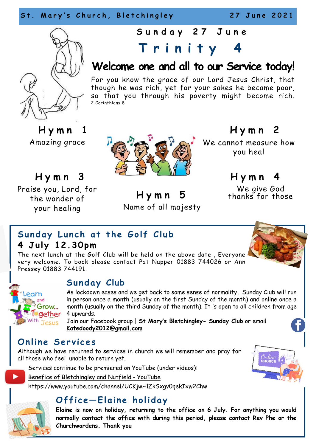### St. Mary's Church, Bletchingley 27 June 2021



# **T r i n i t y 4**

**S u n d a y 2 7 J u n e** 

## **Welcome one and all to our Service today!**

For you know the grace of our Lord Jesus Christ, that though he was rich, yet for your sakes he became poor, so that you through his poverty might become rich. 2 Corinthians 8

 **H y m n 1** Amazing grace

## **H y m n 3**

Praise you, Lord, for the wonder of your healing



**H y m n 5**

Name of all majesty

 **H y m n 2**

We cannot measure how you heal

**H y m n 4**

We give God thanks for those

## **Sunday Lunch at the Golf Club 4 J ul y 1 2 . 30 pm**

The next lunch at the Golf Club will be held on the above date , Everyone very welcome. To book please contact Pat Napper 01883 744026 or Ann Pressey 01883 744191.



## **Sunday Club**

As lockdown eases and we get back to some sense of normality, Sunday Club will run in person once a month (usually on the first Sunday of the month) and online once a month (usually on the third Sunday of the month). It is open to all children from age 4 upwards.

Join our Facebook group | **St Mary's Bletchingley- Sunday Club** or email **[Katedoody2012@gmail.com](mailto:Katedoody2012@gmail.com)**

## **Online Services**

Although we have returned to services in church we will remember and pray for all those who feel unable to return yet.

Services continue to be premiered on YouTube (under videos):

[Benefice of Bletchingley and Nutfield](https://www.youtube.com/channel/UCKjwHlZkSxgv0qekIxw2Chw) - YouTube

https://www.youtube.com/channel/UCKjwHlZkSxgv0qekIxw2Chw

## **Office-Elaine holiday**



**Elaine is now on holiday, returning to the office on 6 July. For anything you would normally contact the office with during this period, please contact Rev Phe or the Churchwardens. Thank you** 



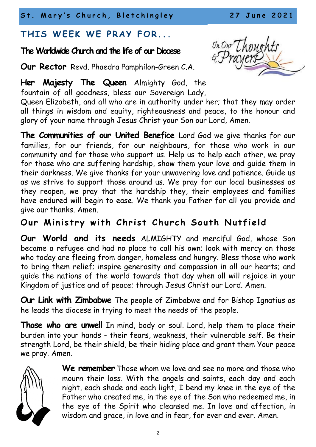St. Mary's Church, Bletchingley 27 June 2021

## THIS WEEK WE PRAY FOR ...

## **The Worldwide Church and the life of our Diocese**

**Our Rector** Revd. Phaedra Pamphilon-Green C.A.

**Her Majesty The Queen** Almighty God, the fountain of all goodness, bless our Sovereign Lady,

Queen Elizabeth, and all who are in authority under her; that they may order all things in wisdom and equity, righteousness and peace, to the honour and glory of your name through Jesus Christ your Son our Lord, Amen.

**The Communities of our United Benefice** Lord God we give thanks for our families, for our friends, for our neighbours, for those who work in our community and for those who support us. Help us to help each other, we pray for those who are suffering hardship, show them your love and guide them in their darkness. We give thanks for your unwavering love and patience. Guide us as we strive to support those around us. We pray for our local businesses as they reopen, we pray that the hardship they, their employees and families have endured will begin to ease. We thank you Father for all you provide and give our thanks. Amen.

## **Our Ministry with Christ Church South Nutfield**

**Our World and its needs** ALMIGHTY and merciful God, whose Son became a refugee and had no place to call his own; look with mercy on those who today are fleeing from danger, homeless and hungry. Bless those who work to bring them relief; inspire generosity and compassion in all our hearts; and guide the nations of the world towards that day when all will rejoice in your Kingdom of justice and of peace; through Jesus Christ our Lord. Amen.

**Our Link with Zimbabwe** The people of Zimbabwe and for Bishop Ignatius as he leads the diocese in trying to meet the needs of the people.

**Those who are unwell** In mind, body or soul. Lord, help them to place their burden into your hands - their fears, weakness, their vulnerable self. Be their strength Lord, be their shield, be their hiding place and grant them Your peace we pray. Amen.



**We remember** Those whom we love and see no more and those who mourn their loss. With the angels and saints, each day and each night, each shade and each light, I bend my knee in the eye of the Father who created me, in the eye of the Son who redeemed me, in the eye of the Spirit who cleansed me. In love and affection, in wisdom and grace, in love and in fear, for ever and ever. Amen.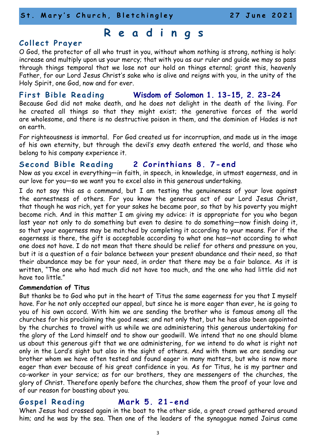## **R e a d i n g s**

#### **C oll e c t P r a y er**

O God, the protector of all who trust in you, without whom nothing is strong, nothing is holy: increase and multiply upon us your mercy; that with you as our ruler and guide we may so pass through things temporal that we lose not our hold on things eternal; grant this, heavenly Father, for our Lord Jesus Christ's sake who is alive and reigns with you, in the unity of the Holy Spirit, one God, now and for ever.

### **Fi rs t Bi bl e R e a di n g Wisdom of Solomon 1. 13-15, 2. 23-24**

Because God did not make death, and he does not delight in the death of the living. For he created all things so that they might exist; the generative forces of the world are wholesome, and there is no destructive poison in them, and the dominion of Hades is not on earth.

For righteousness is immortal. For God created us for incorruption, and made us in the image of his own eternity, but through the devil's envy death entered the world, and those who belong to his company experience it.

#### **Second Bible Reading 2 Corinthians 8. 7-end**

Now as you excel in everything—in faith, in speech, in knowledge, in utmost eagerness, and in our love for you—so we want you to excel also in this generous undertaking.

I do not say this as a command, but I am testing the genuineness of your love against the earnestness of others. For you know the generous act of our Lord Jesus Christ, that though he was rich, yet for your sakes he became poor, so that by his poverty you might become rich. And in this matter I am giving my advice: it is appropriate for you who began last year not only to do something but even to desire to do something—now finish doing it, so that your eagerness may be matched by completing it according to your means. For if the eagerness is there, the gift is acceptable according to what one has—not according to what one does not have. I do not mean that there should be relief for others and pressure on you, but it is a question of a fair balance between your present abundance and their need, so that their abundance may be for your need, in order that there may be a fair balance. As it is written, "The one who had much did not have too much, and the one who had little did not have too little."

#### **Commendation of Titus**

But thanks be to God who put in the heart of Titus the same eagerness for you that I myself have. For he not only accepted our appeal, but since he is more eager than ever, he is going to you of his own accord. With him we are sending the brother who is famous among all the churches for his proclaiming the good news; and not only that, but he has also been appointed by the churches to travel with us while we are administering this generous undertaking for the glory of the Lord himself and to show our goodwill. We intend that no one should blame us about this generous gift that we are administering, for we intend to do what is right not only in the Lord's sight but also in the sight of others. And with them we are sending our brother whom we have often tested and found eager in many matters, but who is now more eager than ever because of his great confidence in you. As for Titus, he is my partner and co-worker in your service; as for our brothers, they are messengers of the churches, the glory of Christ. Therefore openly before the churches, show them the proof of your love and of our reason for boasting about you.

#### **G o s p el R e a di n g M ar k 5 . 2 1-e nd**

When Jesus had crossed again in the boat to the other side, a great crowd gathered around him; and he was by the sea. Then one of the leaders of the synagogue named Jairus came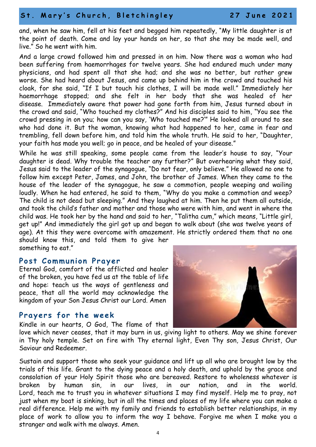#### St. Mary's Church, Bletchingley 27 June 2021

and, when he saw him, fell at his feet and begged him repeatedly, "My little daughter is at the point of death. Come and lay your hands on her, so that she may be made well, and live." So he went with him.

And a large crowd followed him and pressed in on him. Now there was a woman who had been suffering from haemorrhages for twelve years. She had endured much under many physicians, and had spent all that she had; and she was no better, but rather grew worse. She had heard about Jesus, and came up behind him in the crowd and touched his cloak, for she said, "If I but touch his clothes, I will be made well." Immediately her haemorrhage stopped; and she felt in her body that she was healed of her disease. Immediately aware that power had gone forth from him, Jesus turned about in the crowd and said, "Who touched my clothes?" And his disciples said to him, "You see the crowd pressing in on you; how can you say, 'Who touched me?'" He looked all around to see who had done it. But the woman, knowing what had happened to her, came in fear and trembling, fell down before him, and told him the whole truth. He said to her, "Daughter, your faith has made you well; go in peace, and be healed of your disease."

While he was still speaking, some people came from the leader's house to say, "Your daughter is dead. Why trouble the teacher any further?" But overhearing what they said, Jesus said to the leader of the synagogue, "Do not fear, only believe." He allowed no one to follow him except Peter, James, and John, the brother of James. When they came to the house of the leader of the synagogue, he saw a commotion, people weeping and wailing loudly. When he had entered, he said to them, "Why do you make a commotion and weep? The child is not dead but sleeping." And they laughed at him. Then he put them all outside, and took the child's father and mother and those who were with him, and went in where the child was. He took her by the hand and said to her, "Talitha cum," which means, "Little girl, get up!" And immediately the girl got up and began to walk about (she was twelve years of age). At this they were overcome with amazement. He strictly ordered them that no one should know this, and told them to give her something to eat."

#### **Post Communion Prayer**

Eternal God, comfort of the afflicted and healer of the broken, you have fed us at the table of life and hope: teach us the ways of gentleness and peace, that all the world may acknowledge the kingdom of your Son Jesus Christ our Lord. Amen

#### Prayers for the week

Kindle in our hearts, O God, The flame of that

love which never ceases, that it may burn in us, giving light to others. May we shine forever in Thy holy temple. Set on fire with Thy eternal light, Even Thy son, Jesus Christ, Our Saviour and Redeemer.

Sustain and support those who seek your guidance and lift up all who are brought low by the trials of this life. Grant to the dying peace and a holy death, and uphold by the grace and consolation of your Holy Spirit those who are bereaved. Restore to wholeness whatever is broken by human sin, in our lives, in our nation, and in the world. Lord, teach me to trust you in whatever situations I may find myself. Help me to pray, not just when my boat is sinking, but in all the times and places of my life where you can make a real difference. Help me with my family and friends to establish better relationships, in my place of work to allow you to inform the way I behave. Forgive me when I make you a stranger and walk with me always. Amen.

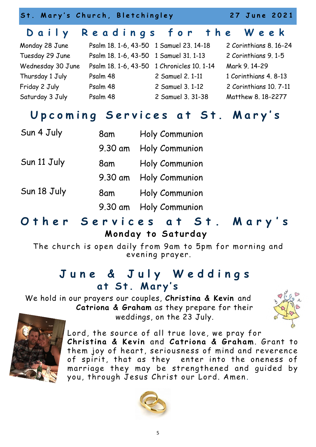St. Mary's Church, Bletchingley 27 June 2021 **D a i l y R e a d i n g s f o r t h e W e e k**  Monday 28 June Psalm 18. 1-6, 43-50 1 Samuel 23. 14-18 2 Corinthians 8. 16-24 Tuesday 29 June Psalm 18. 1-6, 43-50 1 Samuel 31. 1-13 2 Corinthians 9. 1-5 Wednesday 30 June Psalm 18. 1-6, 43-50 1 Chronicles 10. 1-14 Mark 9. 14-29 Thursday 1 July Psalm 48 2 Samuel 2. 1-11 1 Corinthians 4. 8-13 Friday 2 July Psalm 48 2 Samuel 3. 1-12 2 Corinthians 10. 7-11 Saturday 3 July Psalm 48 2 Samuel 3. 31-38 Matthew 8. 18-2277 **U p c o m i n g S e r v i c e s a t S t . M a r y ' s** Sun 4 July 8am 9.30 am Holy Communion Holy Communion Sun 11 July 8am Holy Communion

9.30 am Holy Communion Sun 18 July 8am 9.30 am Holy CommunionHoly Communion

## **O t h e r S e r v i c e s a t S t . M a r y ' s Monday to Saturday**

The church is open daily from 9am to 5pm for morning and evening prayer.

## **J u n e & J u l y W e d d i n g s a t S t . M a r y ' s**

We hold in our prayers our couples, **Christina & Kevin** and **Catriona & Graham** as they prepare for their weddings, on the 23 July.





Lord, the source of all true love, we pray for **Christina & Kevin and Catriona & Graham.** Grant to them joy of heart, seriousness of mind and reverence of spirit, that as they enter into the oneness of marriage they may be strengthened and guided by you, through Jesus Christ our Lord. Amen .